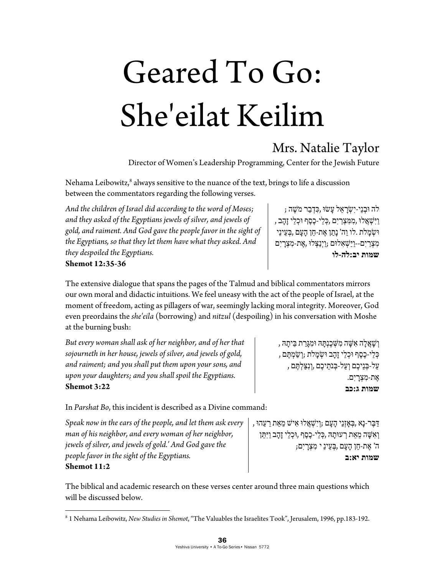# Geared To Go: She'eilat Keilim

## Mrs. Natalie Taylor

Director of Women's Leadership Programming, Center for the Jewish Future

Nehama Leibowitz, $^{\text{s}}$  always sensitive to the nuance of the text, brings to life a discussion between the commentators regarding the following verses.

*And the children of Israel did according to the word of Moses; and they asked of the Egyptians jewels of silver, and jewels of gold, and raiment. And God gave the people favor in the sight of the Egyptians, so that they let them have what they asked. And they despoiled the Egyptians.*  **Shemot 12:35-36** 

לה וּבְ נֵי-יִשְׂ רָ אֵ ל עָשׂוּ ,כִּ דְ בַר **ֹ**משֶׁ ה ; וַיִּשְׁ אֲלוּ ,מִ מִּ צְ רַ יִם ,כְּ לֵי-כֶסֶף וּכְ לֵי זָהָב , וּשׂ **ֹ** ְ מָ לת .לו הוַ ' נָתַ ן אֶ ת-חֵן הָעָם , יבְּ עֵינֵ מִ צְ רַ יִם--וַיַּשְׁ אִלוּם ;וַיְנַצְּלוּ ,אֶ ת-מִ צְ רָ יִם **שמות יב:לה- לו**

The extensive dialogue that spans the pages of the Talmud and biblical commentators mirrors our own moral and didactic intuitions. We feel uneasy with the act of the people of Israel, at the moment of freedom, acting as pillagers of war, seemingly lacking moral integrity. Moreover, God even preordains the *she'eila* (borrowing) and *nitzul* (despoiling) in his conversation with Moshe at the burning bush:

*But every woman shall ask of her neighbor, and of her that sojourneth in her house, jewels of silver, and jewels of gold, and raiment; and you shall put them upon your sons, and upon your daughters; and you shall spoil the Egyptians.*  **Shemot 3:22** 

וְשָׁ אֲלָה אִ שָּׁ ה מִ שְּׁ כֶנְתָּ הּ וּמִ גָּרַ ת בֵּיתָ הּ , כְלֵי-כֶסֶף וּכְלֵי זָהָב וּשְׂמָלֹת ;וְשַׂמְתֶּם , עַל-בְּ נֵיכֶם וְעַל- **ֹ**בְּ נתֵיכֶם , נִצַּלְ תֶּ םוְ , אֶת-מִצְרַיִם. **שמות ג:כב**

In *Parshat Bo*, this incident is described as a Divine command:

*Speak now in the ears of the people, and let them ask every man of his neighbor, and every woman of her neighbor, jewels of silver, and jewels of gold.' And God gave the people favor in the sight of the Egyptians.*  **Shemot 11:2** 

 $\overline{a}$ 

דַּ בֶּר-נָא ,בְּאָזְנֵי הָעָם ;וְיִשְׁ אֲלוּ אִישׁ מֵ אֵ ת רֵ עֵהוּ , וְאִשָּׁה מֵאֵת רְעוּתָהּ ,כְּלֵי-כֶסֶף ,וּכְלֵי זָהָב וַיִּתֵּן ה' אֶ ת-חֵן הָעָם ,בְּ עֵינֵ י מִ צְ רָ יִם ; **שמות יא:ב**

The biblical and academic research on these verses center around three main questions which will be discussed below.

<sup>8</sup> 1 Nehama Leibowitz, *New Studies in Shemot*, "The Valuables the Israelites Took", Jerusalem, 1996, pp.183-192.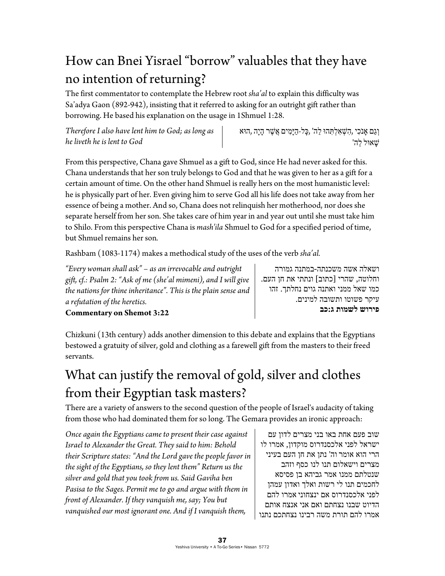# How can Bnei Yisrael "borrow" valuables that they have no intention of returning?

The first commentator to contemplate the Hebrew root *sha'al* to explain this difficulty was Sa'adya Gaon (892-942), insisting that it referred to asking for an outright gift rather than borrowing. He based his explanation on the usage in 1Shmuel 1:28.

*Therefore I also have lent him to God; as long as he liveth he is lent to God* 

וְגַם **ֹ**אָנכִ י ,הִ שְׁ אִ לְ תִּהוּ הלַ ' ,כָּל-הַיָּמִים אֲשֶׁ ר הָיָה ,הוּא שָׁאוּל הלַ '

From this perspective, Chana gave Shmuel as a gift to God, since He had never asked for this. Chana understands that her son truly belongs to God and that he was given to her as a gift for a certain amount of time. On the other hand Shmuel is really hers on the most humanistic level: he is physically part of her. Even giving him to serve God all his life does not take away from her essence of being a mother. And so, Chana does not relinquish her motherhood, nor does she separate herself from her son. She takes care of him year in and year out until she must take him to Shilo. From this perspective Chana is *mash'ila* Shmuel to God for a specified period of time, but Shmuel remains her son*.* 

Rashbam (1083-1174) makes a methodical study of the uses of the verb *sha'al.* 

*"Every woman shall ask" – as an irrevocable and outright gift, cf.: Psalm 2: "Ask of me (she'al mimeni), and I will give the nations for thine inheritance". This is the plain sense and a refutation of the heretics.*  **Commentary on Shemot 3:22**

ושאלה אשה משכנתה- במתנה גמורה וחלוטה, שהרי [כתוב] ונתתי את חן העם. כמו שאל ממני ואתנה גוים נחלתך. זהו עיקר פשוטו ותשובה למינים. **פירוש לשמות ג:כב**

Chizkuni (13th century) adds another dimension to this debate and explains that the Egyptians bestowed a gratuity of silver, gold and clothing as a farewell gift from the masters to their freed servants.

# What can justify the removal of gold, silver and clothes from their Egyptian task masters?

There are a variety of answers to the second question of the people of Israel's audacity of taking from those who had dominated them for so long. The Gemara provides an ironic approach:

*Once again the Egyptians came to present their case against Israel to Alexander the Great. They said to him: Behold their Scripture states: "And the Lord gave the people favor in the sight of the Egyptians, so they lent them" Return us the silver and gold that you took from us. Said Gaviha ben Pasisa to the Sages. Permit me to go and argue with them in front of Alexander. If they vanquish me, say; You but vanquished our most ignorant one. And if I vanquish them,* 

שוב פעם אחת באו בני מצרים לדון עם ישראל לפני אלכסנדרוס מוקדון, אמרו לו הרי הוא אומר וה' נתן את חן העם בעיני מצרים וישאלום תנו לנו כסף וזהב שנטלתם ממנו אמר גביהא בן פסיסא לחכמים תנו לי רשות ואלך ואדון עמהן לפני אלכסנדרוס אם ינצחוני אמרו להם הדיוט שבנו נצחתם ואם אני אנצח אותם אמרו להם תורת משה רבינו נצחתכם נתנו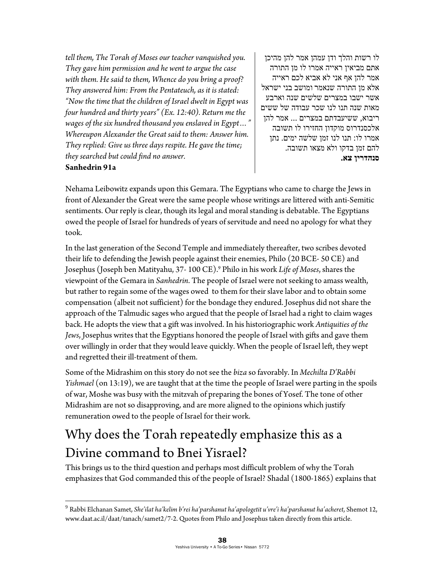*tell them, The Torah of Moses our teacher vanquished you. They gave him permission and he went to argue the case with them. He said to them, Whence do you bring a proof? They answered him: From the Pentateuch, as it is stated: "Now the time that the children of Israel dwelt in Egypt was four hundred and thirty years" (Ex. 12:40). Return me the wages of the six hundred thousand you enslaved in Egypt…" Whereupon Alexander the Great said to them: Answer him. They replied: Give us three days respite. He gave the time; they searched but could find no answer.*  **Sanhedrin 91a** 

לו רשות והלך ודן עמהן אמר להן מהיכן אתם מביאין ראייה אמרו לו מן התורה אמר להן אף אני לא אביא לכם ראייה אלא מן התורה שנאמר ומושב בני ישראל אשר ישבו במצרים שלשים שנה וארבע מאות שנה תנו לנו שכר עבודה של ששים ריבוא, ששיעבדתם במצרים ... אמר להן אלכסנדרוס מוקדון החזירו לו תשובה אמרו לו: תנו לנו זמן שלשה ימים. נתן להם זמן בדקו ולא מצאו תשובה. **סנהדרין צא.**

Nehama Leibowitz expands upon this Gemara. The Egyptians who came to charge the Jews in front of Alexander the Great were the same people whose writings are littered with anti-Semitic sentiments. Our reply is clear, though its legal and moral standing is debatable. The Egyptians owed the people of Israel for hundreds of years of servitude and need no apology for what they took.

In the last generation of the Second Temple and immediately thereafter, two scribes devoted their life to defending the Jewish people against their enemies, Philo (20 BCE- 50 CE) and Josephus (Joseph ben Matityahu, 37- 100 CE).9 Philo in his work *Life of Moses*, shares the viewpoint of the Gemara in *Sanhedrin*. The people of Israel were not seeking to amass wealth, but rather to regain some of the wages owed to them for their slave labor and to obtain some compensation (albeit not sufficient) for the bondage they endured. Josephus did not share the approach of the Talmudic sages who argued that the people of Israel had a right to claim wages back. He adopts the view that a gift was involved. In his historiographic work *Antiquities of the Jews*, Josephus writes that the Egyptians honored the people of Israel with gifts and gave them over willingly in order that they would leave quickly. When the people of Israel left, they wept and regretted their ill-treatment of them.

Some of the Midrashim on this story do not see the *biza* so favorably. In *Mechilta D'Rabbi Yishmael* (on 13:19), we are taught that at the time the people of Israel were parting in the spoils of war, Moshe was busy with the mitzvah of preparing the bones of Yosef. The tone of other Midrashim are not so disapproving, and are more aligned to the opinions which justify remuneration owed to the people of Israel for their work.

## Why does the Torah repeatedly emphasize this as a Divine command to Bnei Yisrael?

 $\overline{a}$ 

This brings us to the third question and perhaps most difficult problem of why the Torah emphasizes that God commanded this of the people of Israel? Shadal (1800-1865) explains that

<sup>9</sup> Rabbi Elchanan Samet, *She'ilat ha'kelim b'rei ha'parshanut ha'apologetit u'vre'i ha'parshanut ha'acheret*, Shemot 12, www.daat.ac.il/daat/tanach/samet2/7-2. Quotes from Philo and Josephus taken directly from this article.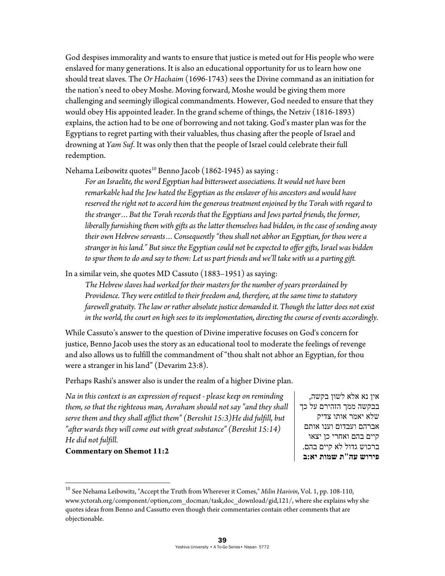God despises immorality and wants to ensure that justice is meted out for His people who were enslaved for many generations. It is also an educational opportunity for us to learn how one should treat slaves. The *Or Hachaim* (1696-1743) sees the Divine command as an initiation for the nation's need to obey Moshe. Moving forward, Moshe would be giving them more challenging and seemingly illogical commandments. However, God needed to ensure that they would obey His appointed leader. In the grand scheme of things, the Netziv (1816-1893) explains, the action had to be one of borrowing and not taking. God's master plan was for the Egyptians to regret parting with their valuables, thus chasing after the people of Israel and drowning at *Yam Suf*. It was only then that the people of Israel could celebrate their full redemption.

Nehama Leibowitz quotes<sup>10</sup> Benno Jacob (1862-1945) as saying :

*For an Israelite, the word Egyptian had bittersweet associations. It would not have been remarkable had the Jew hated the Egyptian as the enslaver of his ancestors and would have reserved the right not to accord him the generous treatment enjoined by the Torah with regard to the stranger…But the Torah records that the Egyptians and Jews parted friends, the former, liberally furnishing them with gifts as the latter themselves had bidden, in the case of sending away their own Hebrew servants…Consequently "thou shall not abhor an Egyptian, for thou were a stranger in his land." But since the Egyptian could not be expected to offer gifts, Israel was bidden to spur them to do and say to them: Let us part friends and we'll take with us a parting gift.* 

In a similar vein, she quotes MD Cassuto (1883–1951) as saying:

*The Hebrew slaves had worked for their masters for the number of years preordained by Providence. They were entitled to their freedom and, therefore, at the same time to statutory farewell gratuity. The law or rather absolute justice demanded it. Though the latter does not exist in the world, the court on high sees to its implementation, directing the course of events accordingly.* 

While Cassuto's answer to the question of Divine imperative focuses on God's concern for justice, Benno Jacob uses the story as an educational tool to moderate the feelings of revenge and also allows us to fulfill the commandment of "thou shalt not abhor an Egyptian, for thou were a stranger in his land" (Devarim 23:8).

Perhaps Rashi's answer also is under the realm of a higher Divine plan.

*Na in this context is an expression of request - please keep on reminding them, so that the righteous man, Avraham should not say "and they shall serve them and they shall afflict them" (Bereshit 15:3)He did fulfill, but "after wards they will come out with great substance" (Bereshit 15:14) He did not fulfill.* 

אין נא אלא לשון בקשה, בבקשה ממך הזהירם על כך שלא יאמר אותו צדיק אברהם ועבדום וענו אותם קיים בהם ואחרי כן יצאו ברכוש גדול לא קיים בהם. **פירוש עה"ת שמות יא:ב**

#### **Commentary on Shemot 11:2**

 $\overline{a}$ 

<sup>10</sup> See Nehama Leibowitz, "Accept the Truth from Wherever it Comes," *Milin Havivin*, Vol. 1, pp. 108-110, www.yctorah.org/component/option,com\_docman/task,doc\_download/gid,121/, where she explains why she quotes ideas from Benno and Cassutto even though their commentaries contain other comments that are objectionable.